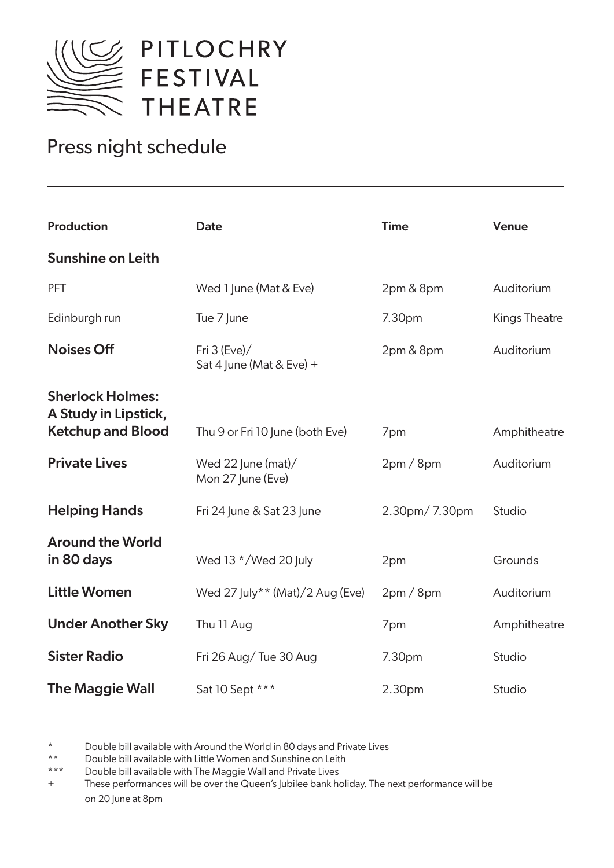

## Press night schedule

| <b>Production</b>                                                           | <b>Date</b>                                | <b>Time</b>        | Venue                |
|-----------------------------------------------------------------------------|--------------------------------------------|--------------------|----------------------|
| <b>Sunshine on Leith</b>                                                    |                                            |                    |                      |
| PFT                                                                         | Wed 1 June (Mat & Eve)                     | 2pm & 8pm          | Auditorium           |
| Edinburgh run                                                               | Tue 7 June                                 | 7.30pm             | <b>Kings Theatre</b> |
| <b>Noises Off</b>                                                           | Fri $3$ (Eve)/<br>Sat 4 June (Mat & Eve) + | 2pm & 8pm          | Auditorium           |
| <b>Sherlock Holmes:</b><br>A Study in Lipstick,<br><b>Ketchup and Blood</b> | Thu 9 or Fri 10 June (both Eve)            | 7pm                | Amphitheatre         |
| <b>Private Lives</b>                                                        | Wed 22 June (mat)/<br>Mon 27 June (Eve)    | 2pm/8pm            | Auditorium           |
| <b>Helping Hands</b>                                                        | Fri 24 June & Sat 23 June                  | 2.30pm/7.30pm      | Studio               |
| <b>Around the World</b><br>in 80 days                                       | Wed 13 $*/$ Wed 20 July                    | 2pm                | Grounds              |
| <b>Little Women</b>                                                         | Wed 27 July** (Mat)/2 Aug (Eve)            | 2pm/8pm            | Auditorium           |
| <b>Under Another Sky</b>                                                    | Thu 11 Aug                                 | 7pm                | Amphitheatre         |
| <b>Sister Radio</b>                                                         | Fri 26 Aug/Tue 30 Aug                      | 7.30pm             | Studio               |
| <b>The Maggie Wall</b>                                                      | Sat 10 Sept ***                            | 2.30 <sub>pm</sub> | Studio               |

Double bill available with Around the World in 80 days and Private Lives

\*\* Double bill available with Little Women and Sunshine on Leith

\*\*\* Double bill available with The Maggie Wall and Private Lives

+ These performances will be over the Queen's Jubilee bank holiday. The next performance will be on 20 June at 8pm